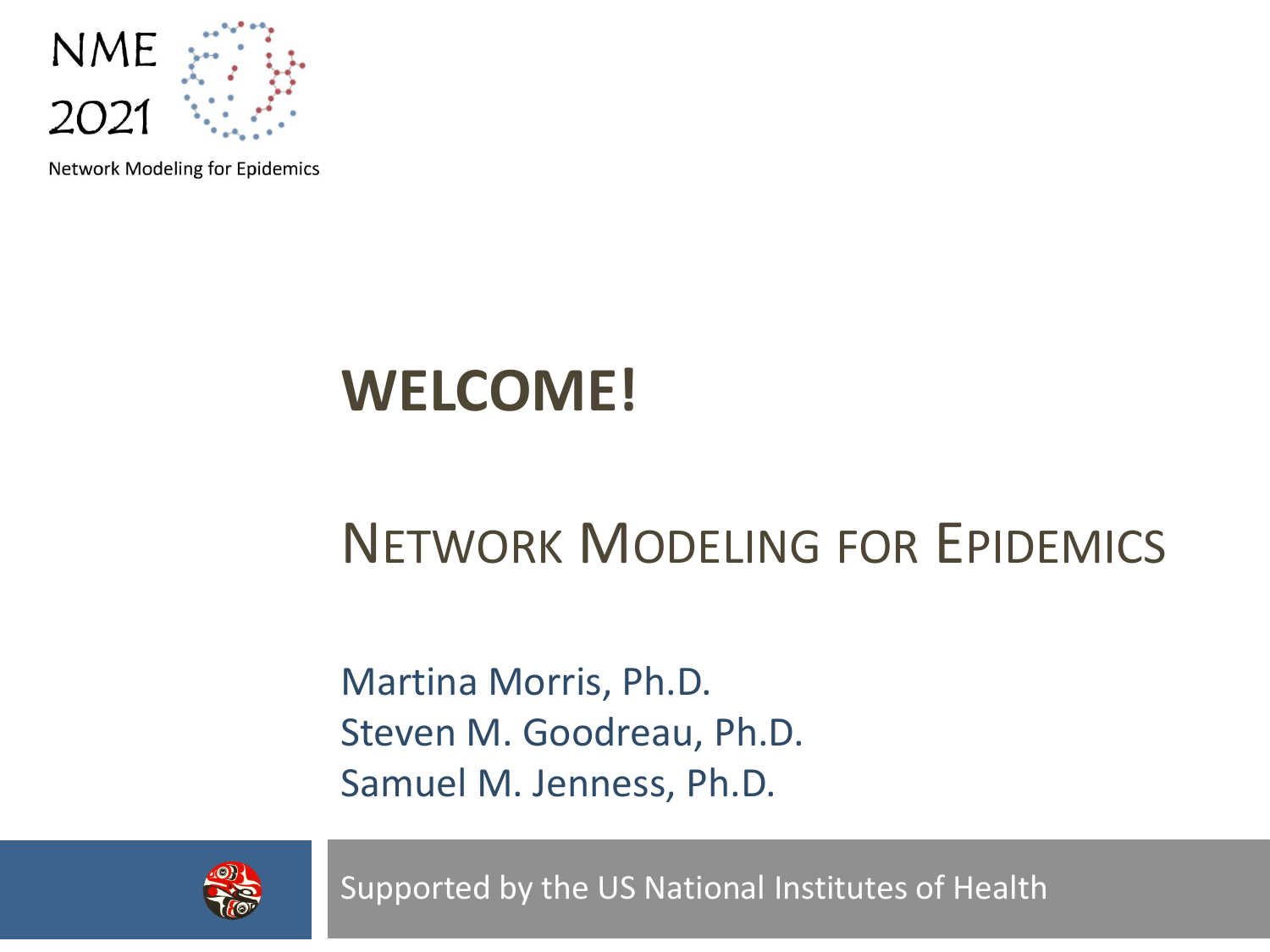

Network Modeling for Epidemics

### **WELCOME!**

#### NETWORK MODELING FOR EPIDEMICS

Martina Morris, Ph.D. Steven M. Goodreau, Ph.D. Samuel M. Jenness, Ph.D.



Supported by the US National Institutes of Health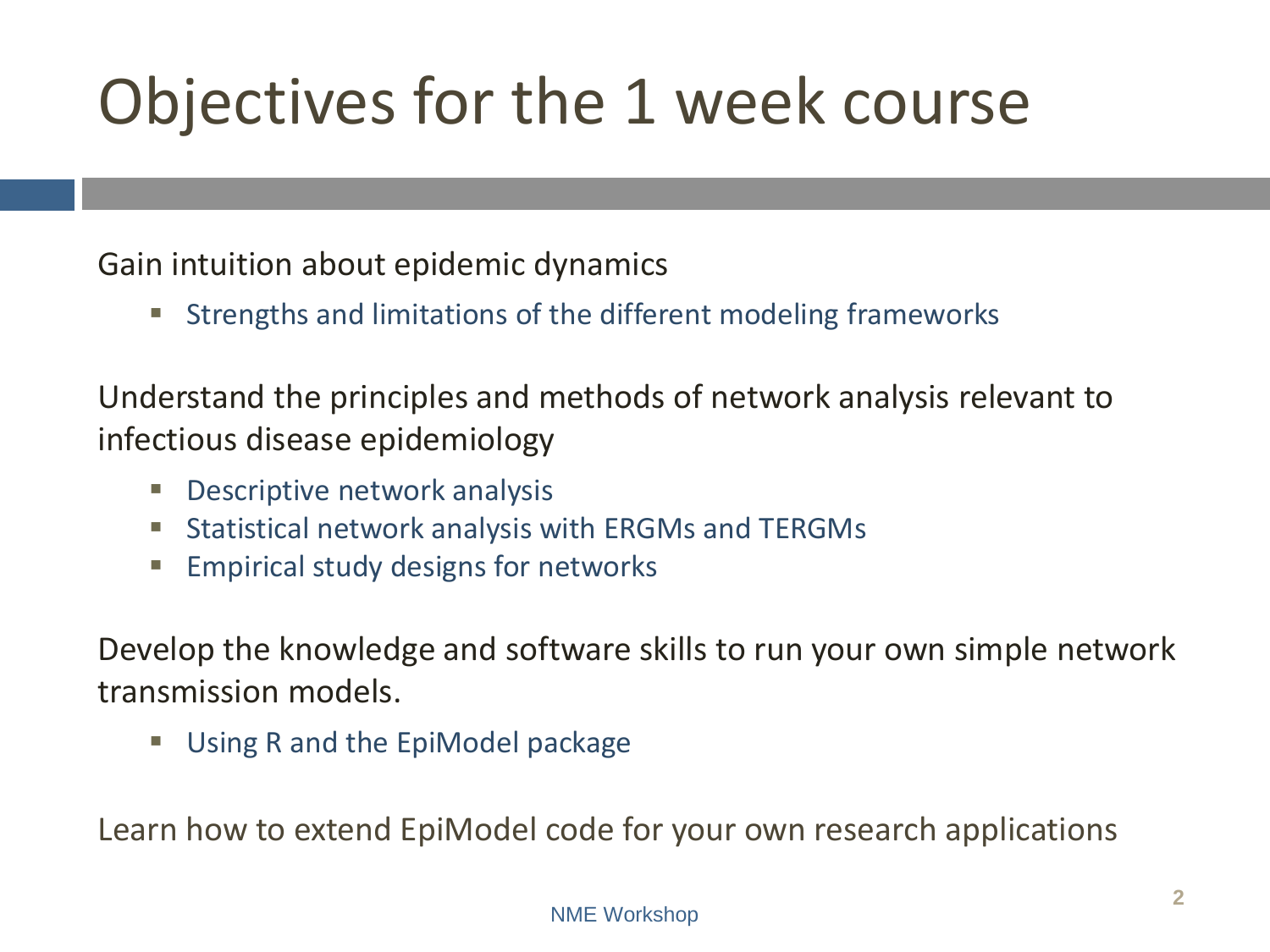# Objectives for the 1 week course

Gain intuition about epidemic dynamics

Strengths and limitations of the different modeling frameworks

Understand the principles and methods of network analysis relevant to infectious disease epidemiology

- Descriptive network analysis
- **Statistical network analysis with ERGMs and TERGMs**
- **Empirical study designs for networks**

Develop the knowledge and software skills to run your own simple network transmission models.

Using R and the EpiModel package

Learn how to extend EpiModel code for your own research applications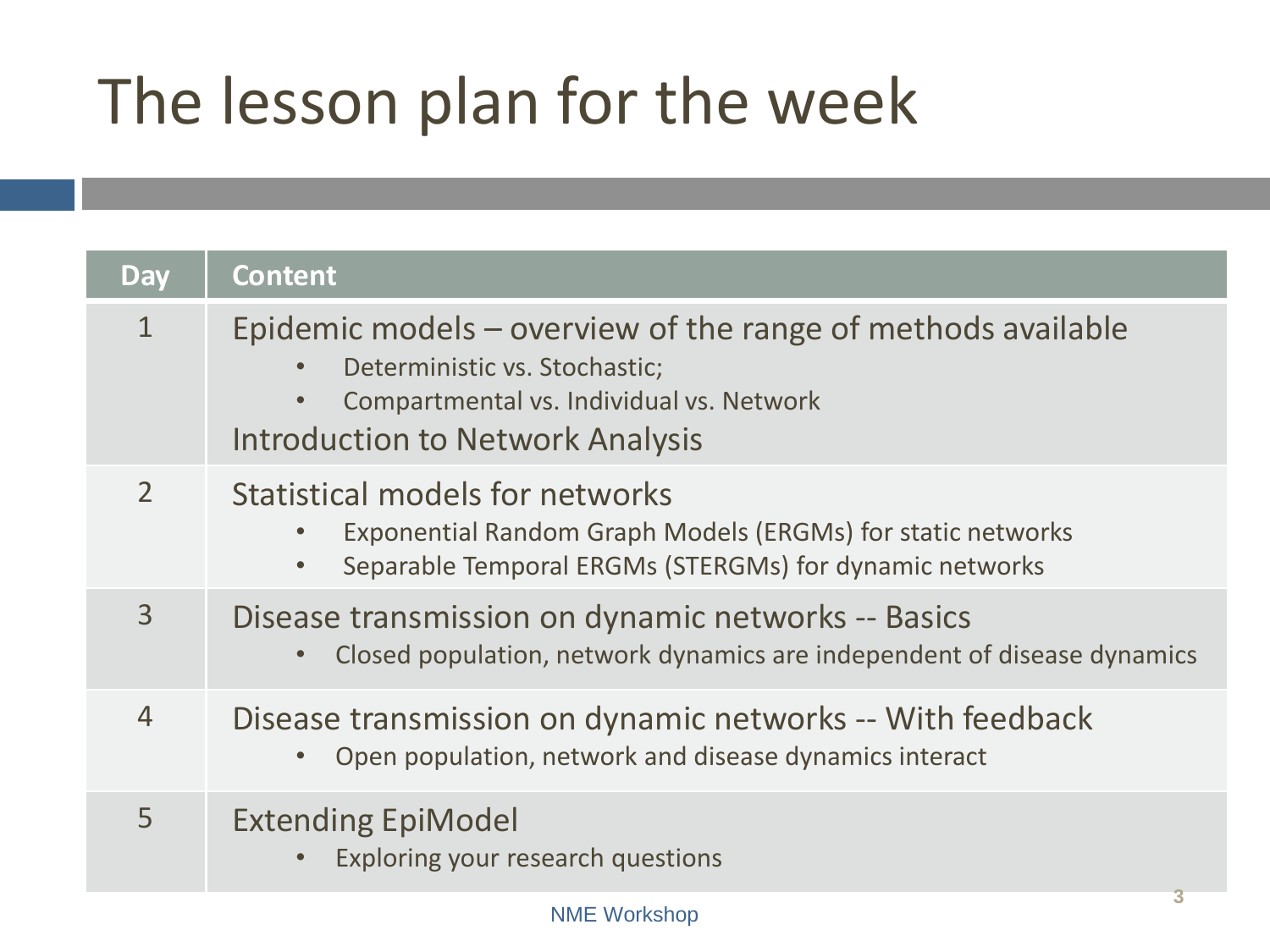# The lesson plan for the week

| <b>Day</b>     | <b>Content</b>                                                                                                                                                                                    |
|----------------|---------------------------------------------------------------------------------------------------------------------------------------------------------------------------------------------------|
| $\mathbf{1}$   | Epidemic models – overview of the range of methods available<br>Deterministic vs. Stochastic;<br>Compartmental vs. Individual vs. Network<br>$\bullet$<br><b>Introduction to Network Analysis</b> |
| $\overline{2}$ | Statistical models for networks<br>Exponential Random Graph Models (ERGMs) for static networks<br>Separable Temporal ERGMs (STERGMs) for dynamic networks<br>$\bullet$                            |
| $\overline{3}$ | Disease transmission on dynamic networks -- Basics<br>Closed population, network dynamics are independent of disease dynamics                                                                     |
| $\overline{4}$ | Disease transmission on dynamic networks -- With feedback<br>Open population, network and disease dynamics interact                                                                               |
| 5              | <b>Extending EpiModel</b><br>Exploring your research questions                                                                                                                                    |
|                | 3<br><b>NME Workshop</b>                                                                                                                                                                          |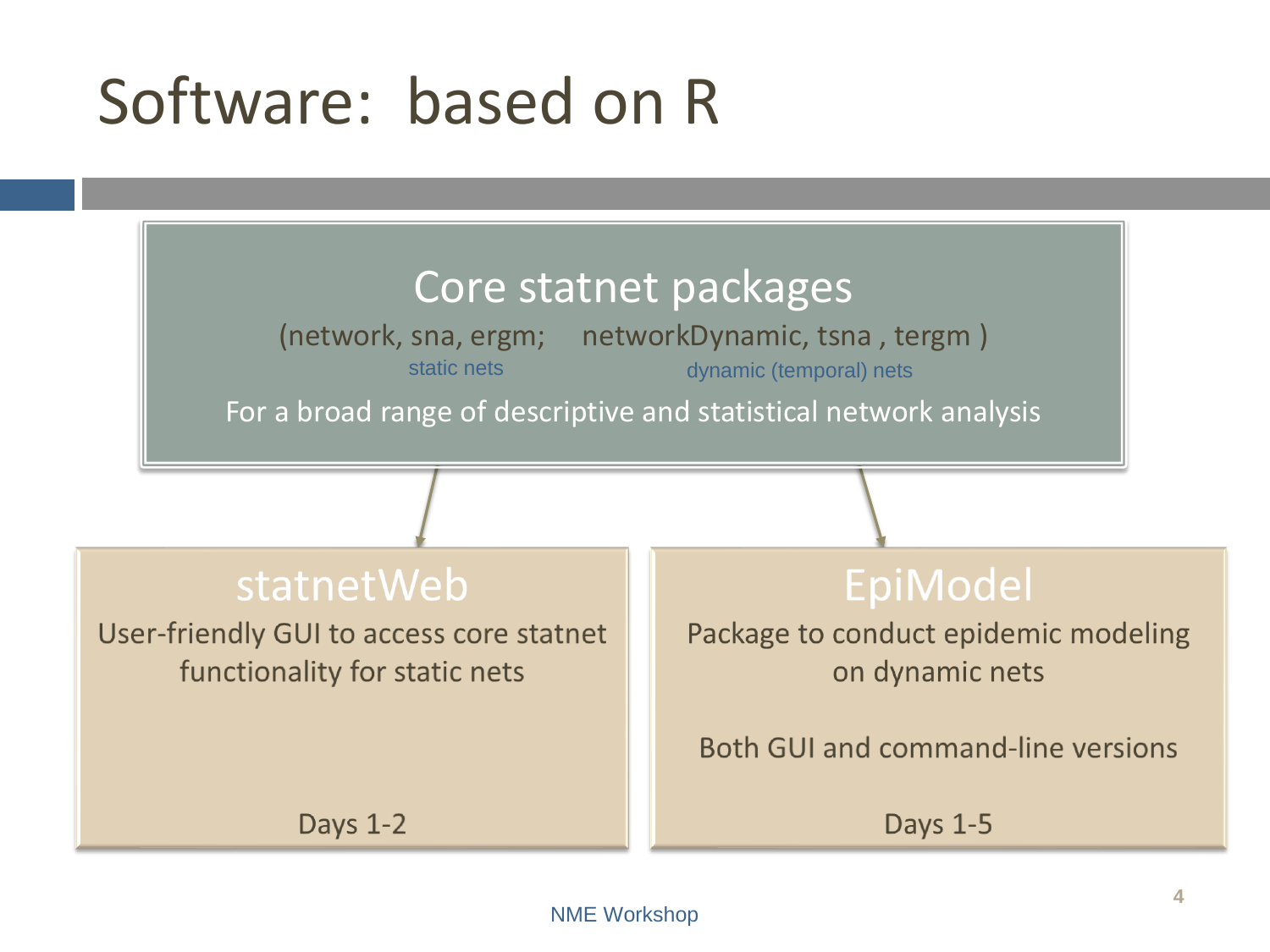### Software: based on R

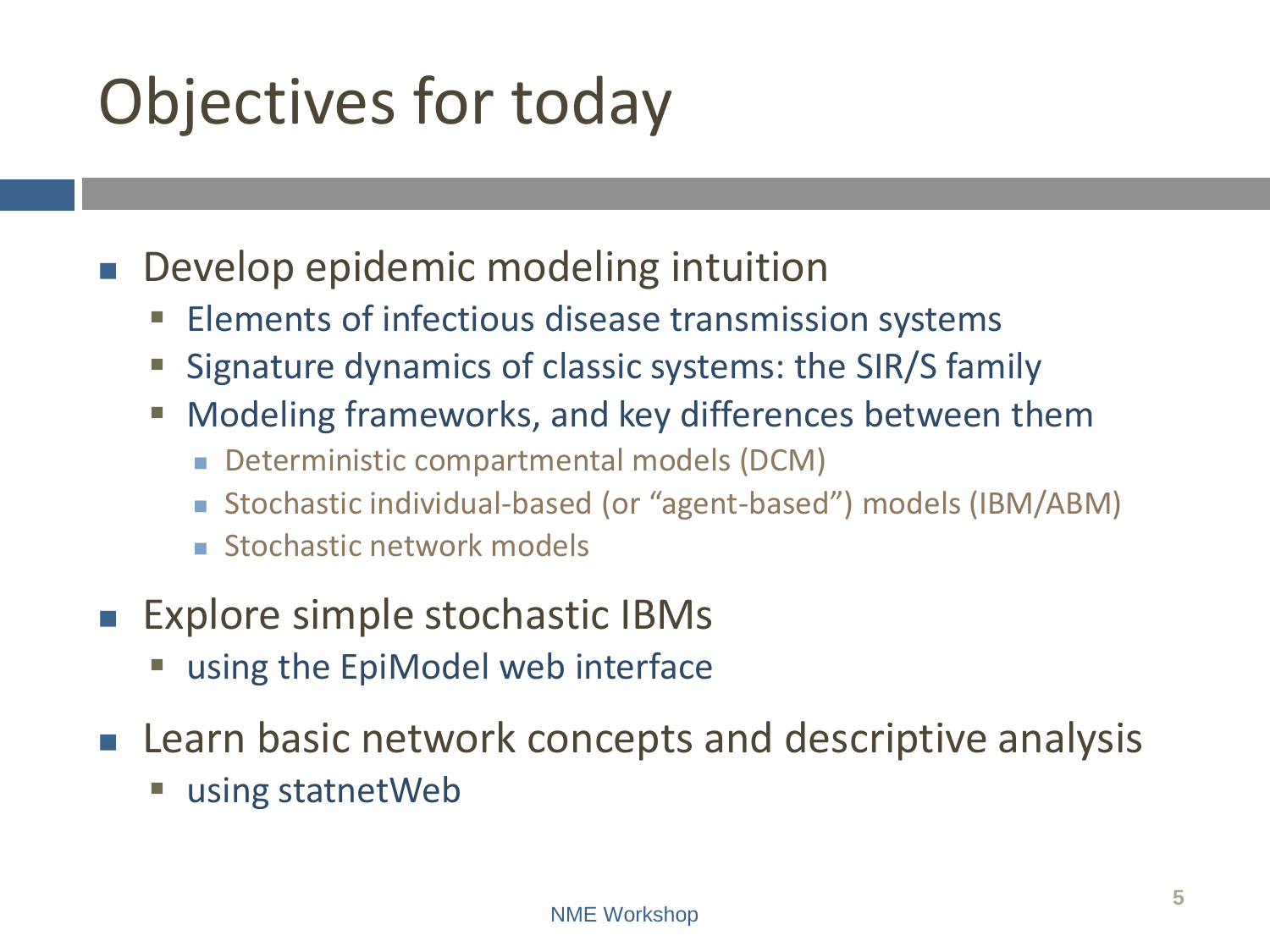# Objectives for today

Develop epidemic modeling intuition

- Elements of infectious disease transmission systems
- Signature dynamics of classic systems: the SIR/S family
- Modeling frameworks, and key differences between them
	- Deterministic compartmental models (DCM)
	- Stochastic individual-based (or "agent-based") models (IBM/ABM)
	- Stochastic network models
- Explore simple stochastic IBMs
	- using the EpiModel web interface
- Learn basic network concepts and descriptive analysis
	- using statnetWeb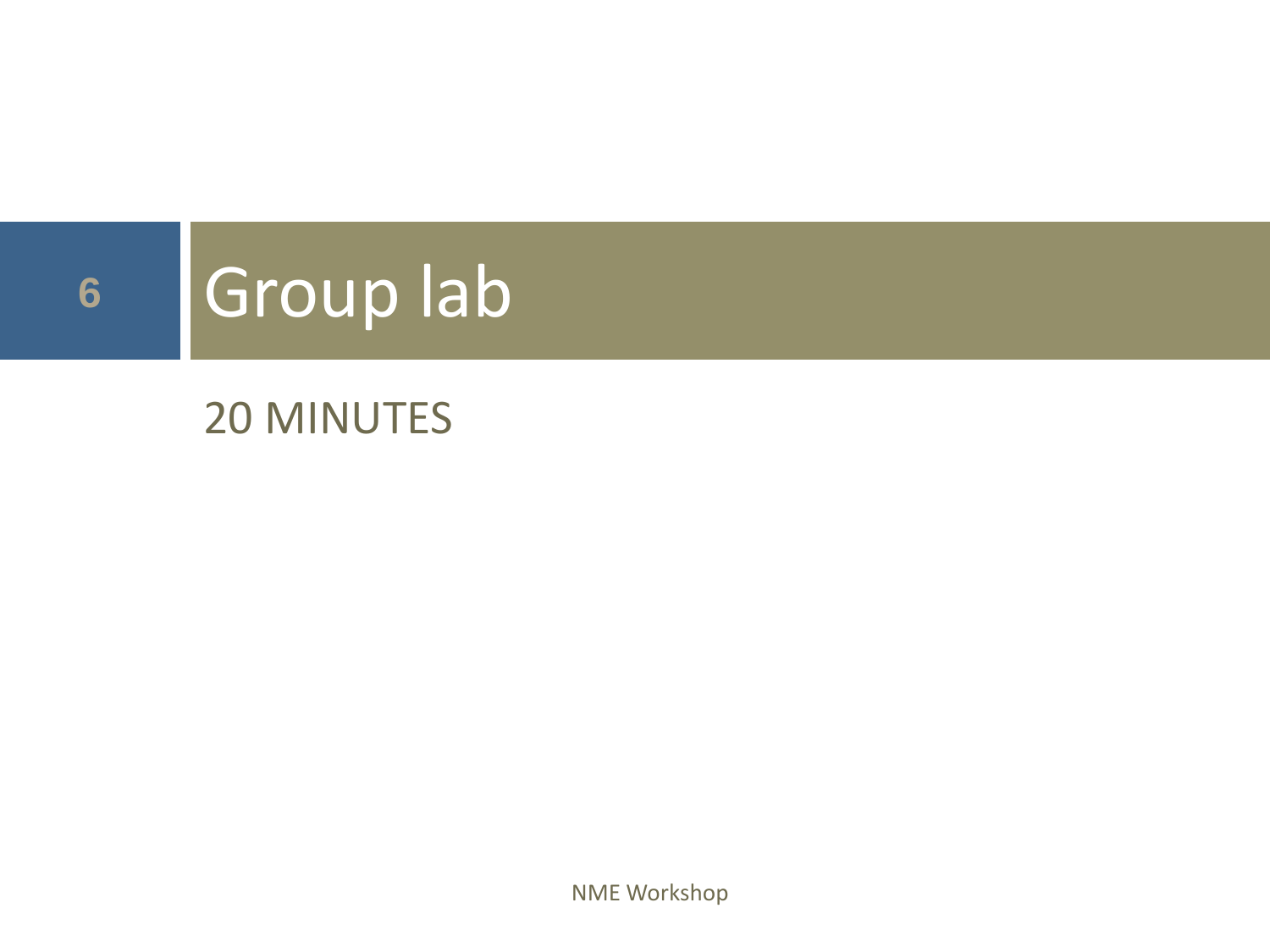# **<sup>6</sup>** Group lab

#### 20 MINUTES

NME Workshop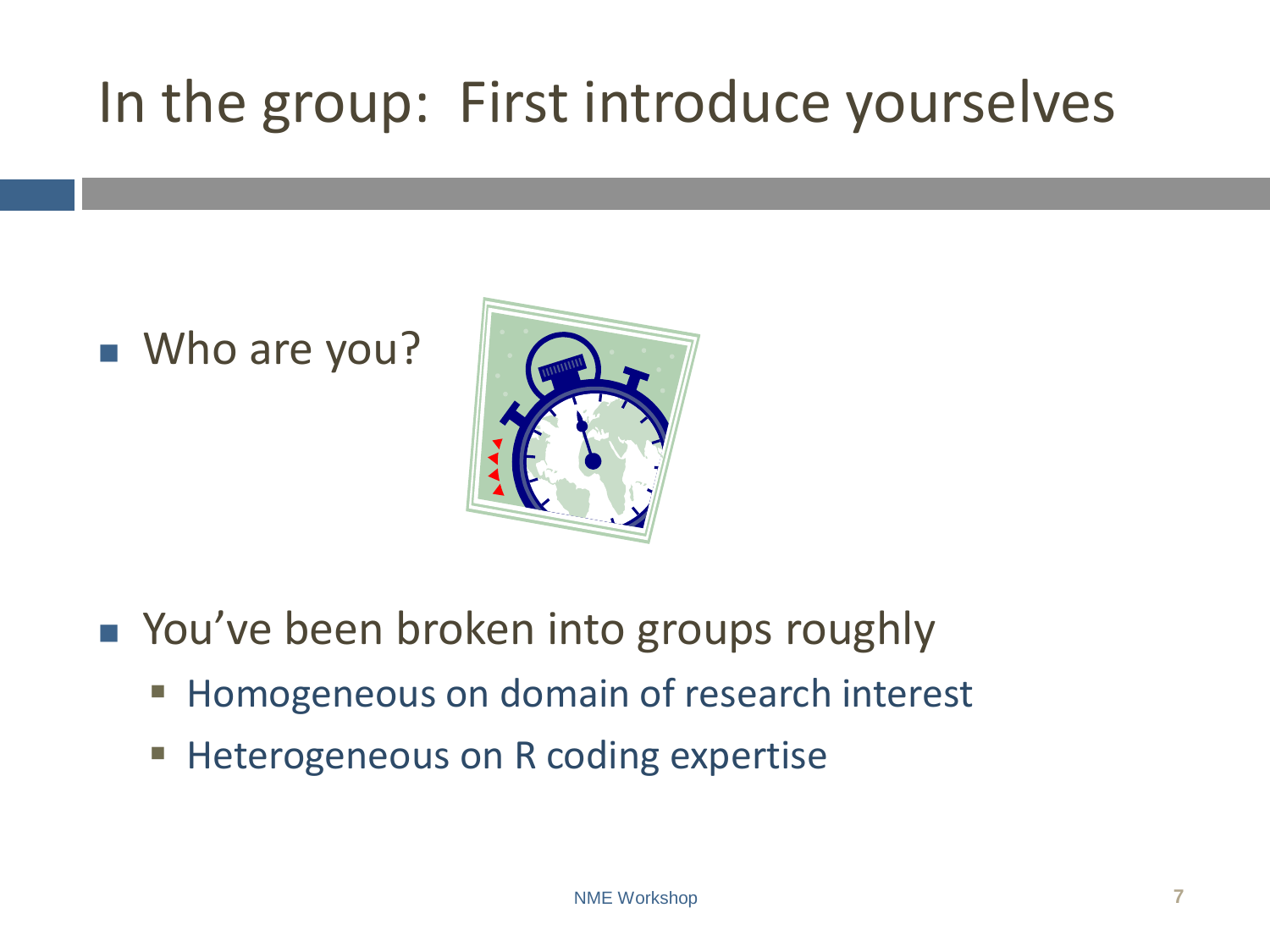### In the group: First introduce yourselves

#### ■ Who are you?



- You've been broken into groups roughly
	- **EXTERGHTM** Homogeneous on domain of research interest
	- **EXP** Heterogeneous on R coding expertise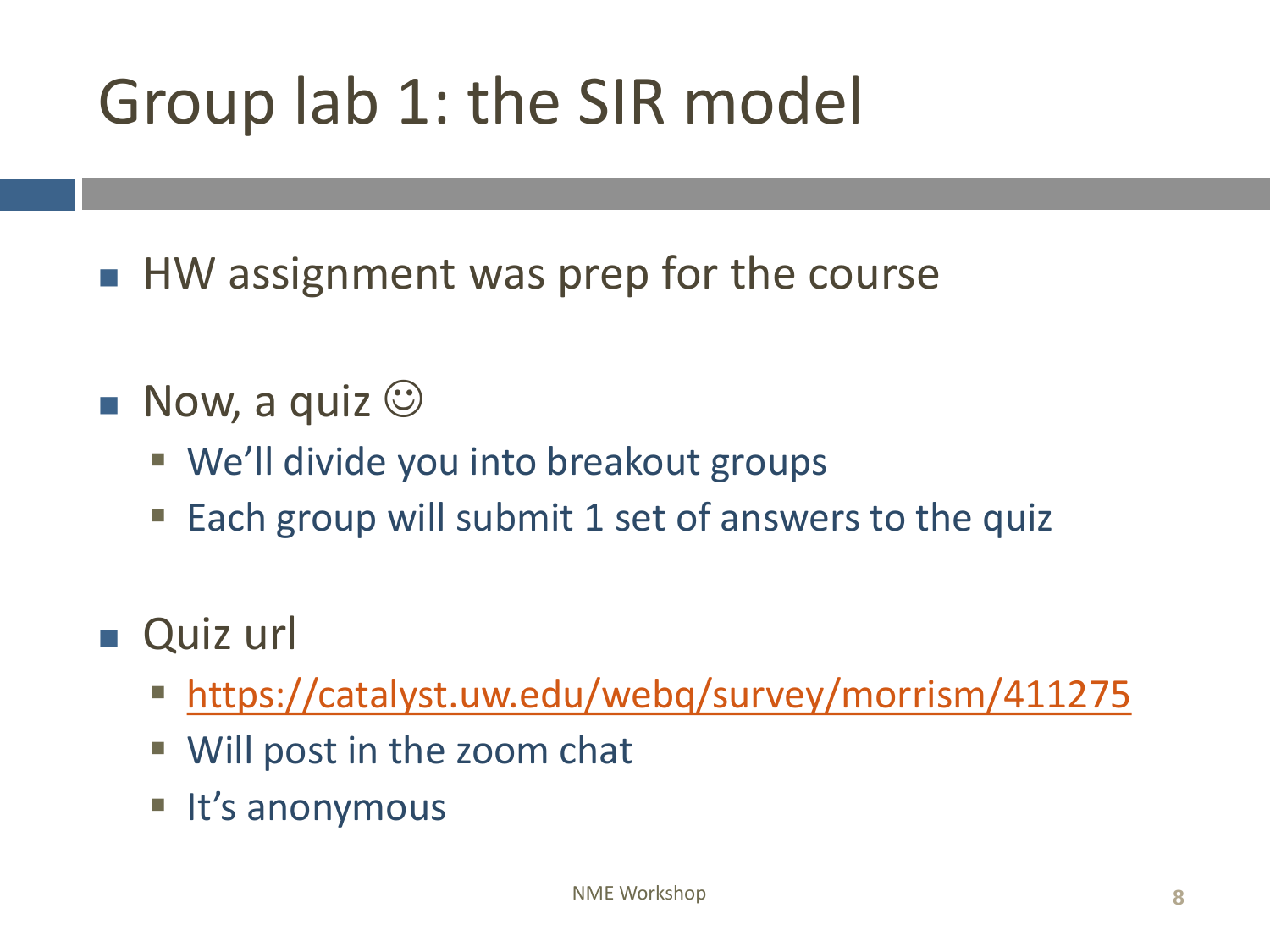# Group lab 1: the SIR model

- HW assignment was prep for the course
- $\blacksquare$  Now, a quiz  $\odot$ 
	- We'll divide you into breakout groups
	- Each group will submit 1 set of answers to the quiz
- Quiz url
	- <https://catalyst.uw.edu/webq/survey/morrism/411275>
	- Will post in the zoom chat
	- It's anonymous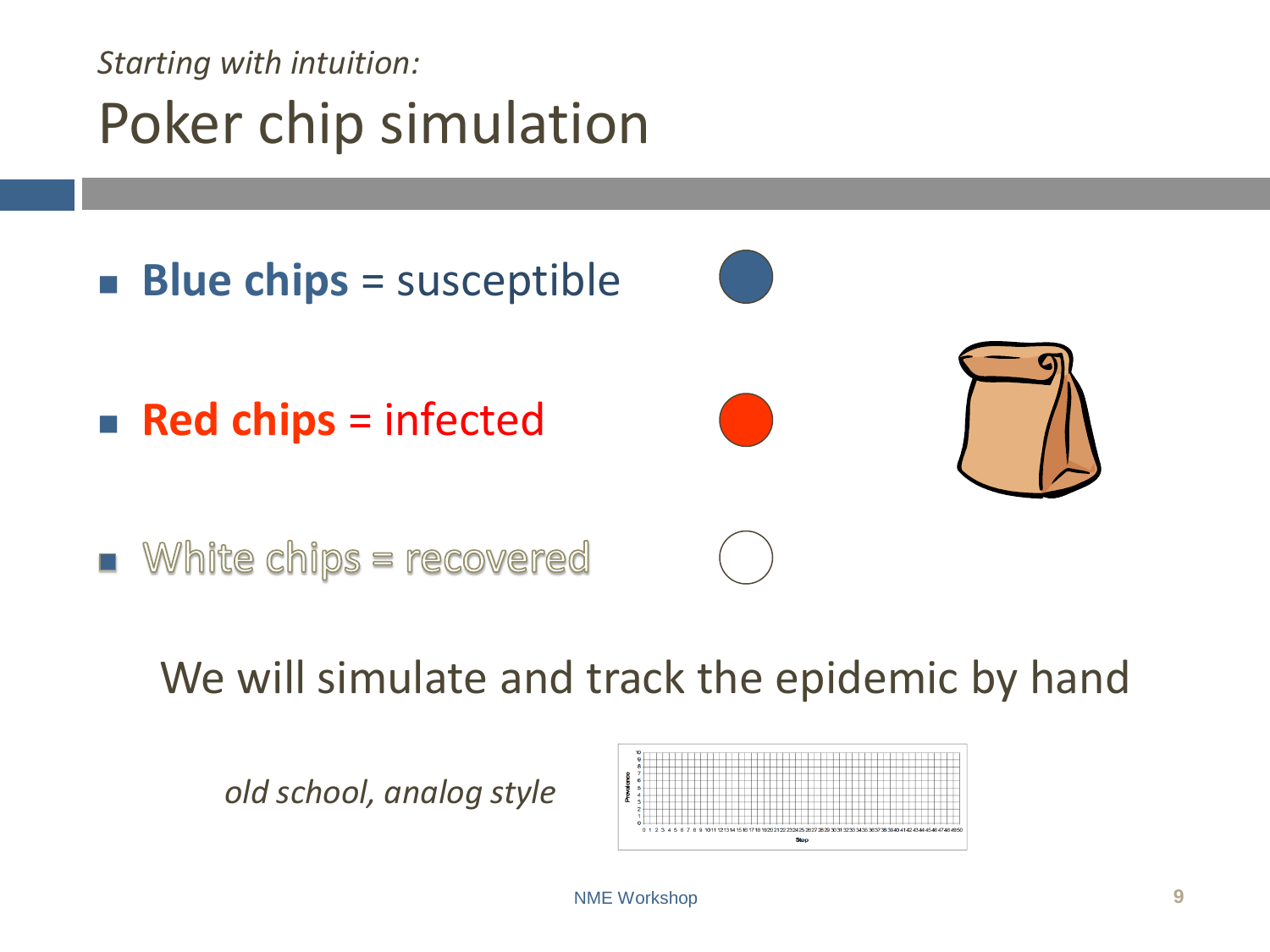#### *Starting with intuition:* Poker chip simulation



We will simulate and track the epidemic by hand

*old school, analog style*